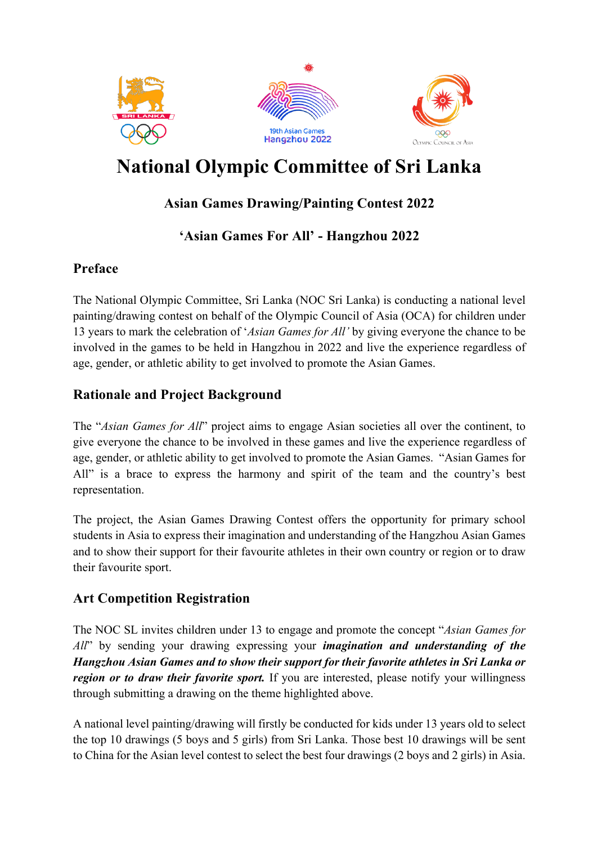

# **National Olympic Committee of Sri Lanka**

# **Asian Games Drawing/Painting Contest 2022**

# **'Asian Games For All' - Hangzhou 2022**

## **Preface**

The National Olympic Committee, Sri Lanka (NOC Sri Lanka) is conducting a national level painting/drawing contest on behalf of the Olympic Council of Asia (OCA) for children under 13 years to mark the celebration of '*Asian Games for All'* by giving everyone the chance to be involved in the games to be held in Hangzhou in 2022 and live the experience regardless of age, gender, or athletic ability to get involved to promote the Asian Games.

## **Rationale and Project Background**

The "*Asian Games for All*" project aims to engage Asian societies all over the continent, to give everyone the chance to be involved in these games and live the experience regardless of age, gender, or athletic ability to get involved to promote the Asian Games. "Asian Games for All" is a brace to express the harmony and spirit of the team and the country's best representation.

The project, the Asian Games Drawing Contest offers the opportunity for primary school students in Asia to express their imagination and understanding of the Hangzhou Asian Games and to show their support for their favourite athletes in their own country or region or to draw their favourite sport.

## **Art Competition Registration**

The NOC SL invites children under 13 to engage and promote the concept "*Asian Games for All*" by sending your drawing expressing your *imagination and understanding of the Hangzhou Asian Games and to show their support for their favorite athletes in Sri Lanka or region or to draw their favorite sport.* If you are interested, please notify your willingness through submitting a drawing on the theme highlighted above.

A national level painting/drawing will firstly be conducted for kids under 13 years old to select the top 10 drawings (5 boys and 5 girls) from Sri Lanka. Those best 10 drawings will be sent to China for the Asian level contest to select the best four drawings (2 boys and 2 girls) in Asia.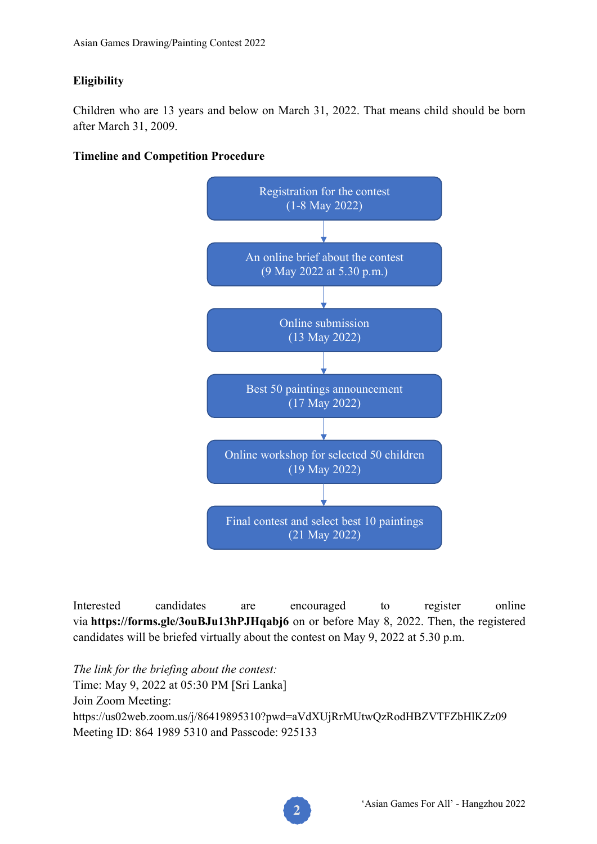## **Eligibility**

Children who are 13 years and below on March 31, 2022. That means child should be born after March 31, 2009.





Interested candidates are encouraged to register online via **https://forms.gle/3ouBJu13hPJHqabj6** on or before May 8, 2022. Then, the registered candidates will be briefed virtually about the contest on May 9, 2022 at 5.30 p.m.

*The link for the briefing about the contest:* Time: May 9, 2022 at 05:30 PM [Sri Lanka] Join Zoom Meeting: https://us02web.zoom.us/j/86419895310?pwd=aVdXUjRrMUtwQzRodHBZVTFZbHlKZz09 Meeting ID: 864 1989 5310 and Passcode: 925133